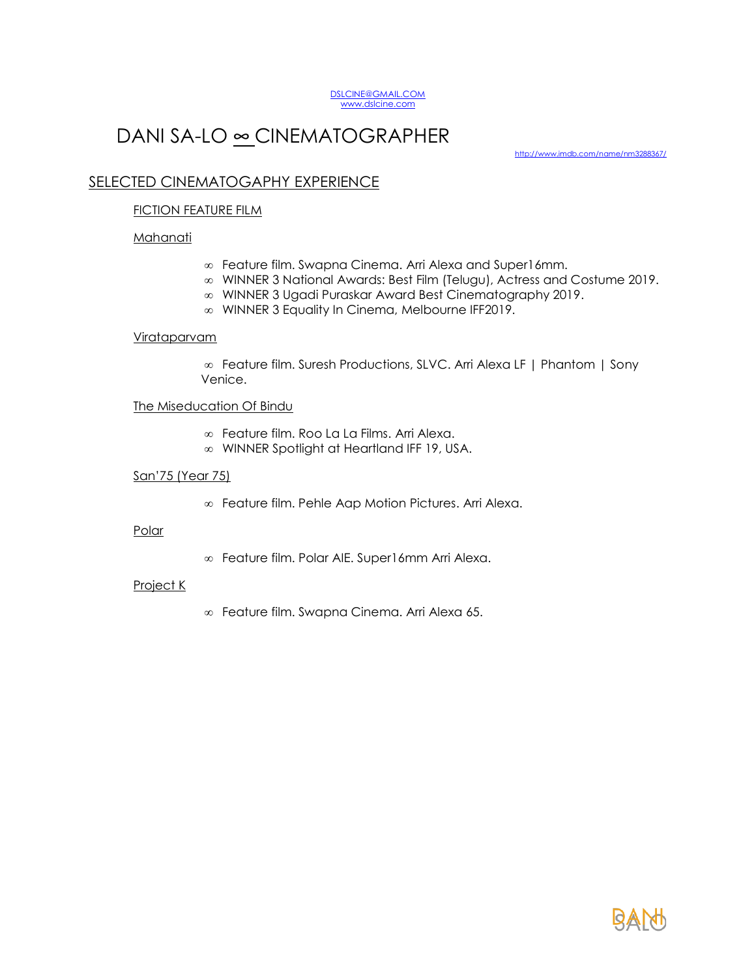

# DANI SA-LO ∞ CINEMATOGRAPHER

<http://www.imdb.com/name/nm3288367/>

# SELECTED CINEMATOGAPHY EXPERIENCE

## **FICTION FEATURE FILM**

## **Mahanati**

- Feature film. Swapna Cinema. Arri Alexa and Super16mm.
- WINNER 3 National Awards: Best Film (Telugu), Actress and Costume 2019.
- WINNER 3 Ugadi Puraskar Award Best Cinematography 2019.
- WINNER 3 Equality In Cinema, Melbourne IFF2019.

#### Virataparvam

 Feature film. Suresh Productions, SLVC. Arri Alexa LF | Phantom | Sony Venice.

## The Miseducation Of Bindu

- Feature film. Roo La La Films. Arri Alexa.
- WINNER Spotlight at Heartland IFF 19, USA.

## San'75 (Year 75)

Feature film. Pehle Aap Motion Pictures. Arri Alexa.

#### Polar

Feature film. Polar AIE. Super16mm Arri Alexa.

#### Project K

Feature film. Swapna Cinema. Arri Alexa 65.

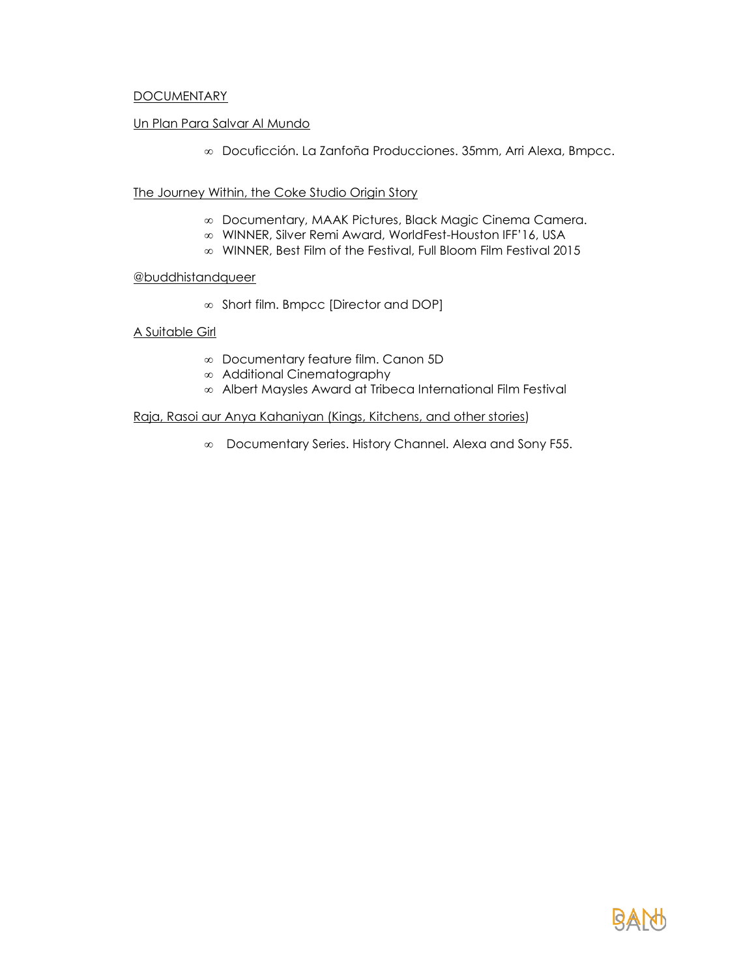## **DOCUMENTARY**

## Un Plan Para Salvar Al Mundo

Docuficción. La Zanfoña Producciones. 35mm, Arri Alexa, Bmpcc.

The Journey Within, the Coke Studio Origin Story

- Documentary, MAAK Pictures, Black Magic Cinema Camera.
- WINNER, Silver Remi Award, WorldFest-Houston IFF'16, USA
- WINNER, Best Film of the Festival, Full Bloom Film Festival 2015

## @buddhistandqueer

 $\infty$  Short film. Bmpcc [Director and DOP]

A Suitable Girl

- Documentary feature film. Canon 5D
- Additional Cinematography
- Albert Maysles Award at Tribeca International Film Festival

## Raja, Rasoi aur Anya Kahaniyan (Kings, Kitchens, and other stories)

Documentary Series. History Channel. Alexa and Sony F55.

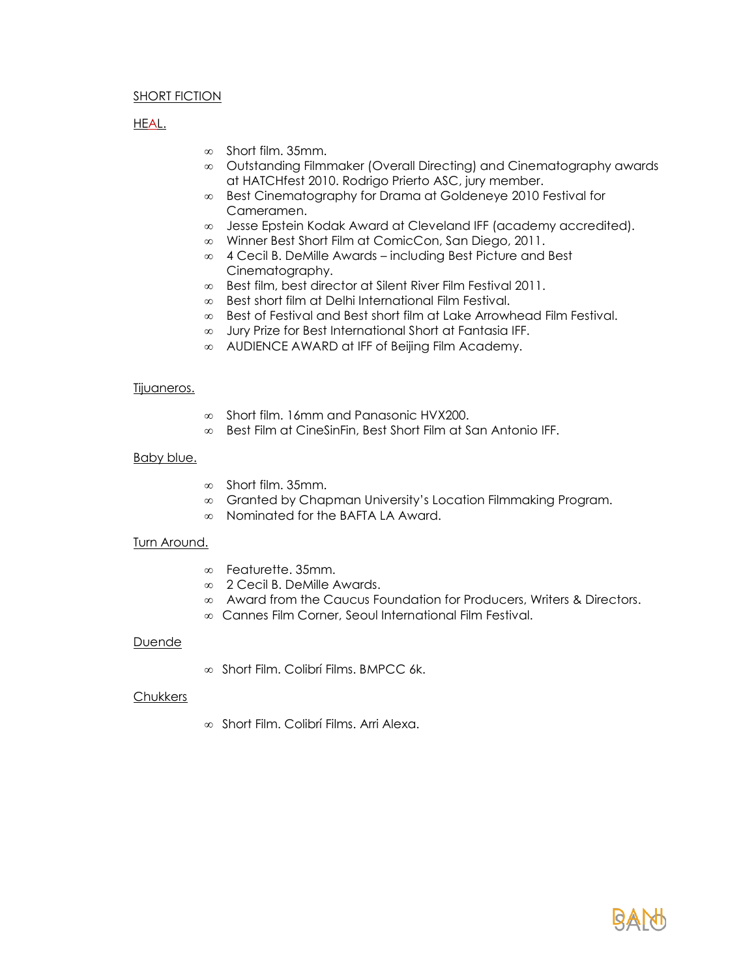## SHORT FICTION

## HEAL.

- $\infty$  Short film. 35mm.
- Outstanding Filmmaker (Overall Directing) and Cinematography awards at HATCHfest 2010. Rodrigo Prierto ASC, jury member.
- Best Cinematography for Drama at Goldeneye 2010 Festival for Cameramen.
- Jesse Epstein Kodak Award at Cleveland IFF (academy accredited).
- Winner Best Short Film at ComicCon, San Diego, 2011.
- 4 Cecil B. DeMille Awards including Best Picture and Best Cinematography.
- Best film, best director at Silent River Film Festival 2011.
- Best short film at Delhi International Film Festival.
- $\infty$  Best of Festival and Best short film at Lake Arrowhead Film Festival.
- Jury Prize for Best International Short at Fantasia IFF.
- AUDIENCE AWARD at IFF of Beijing Film Academy.

#### Tijuaneros.

- $\infty$  Short film. 16mm and Panasonic HVX200.
- Best Film at CineSinFin, Best Short Film at San Antonio IFF.

#### **Baby blue.**

- $\infty$  Short film. 35mm.
- Granted by Chapman University's Location Filmmaking Program.
- Nominated for the BAFTA LA Award.

## Turn Around.

- Featurette. 35mm.
- 2 Cecil B. DeMille Awards.
- $\infty$  Award from the Caucus Foundation for Producers, Writers & Directors.
- Cannes Film Corner, Seoul International Film Festival.

#### Duende

 $\infty$  Short Film. Colibrí Films. BMPCC 6k.

#### Chukkers

Short Film. Colibrí Films. Arri Alexa.

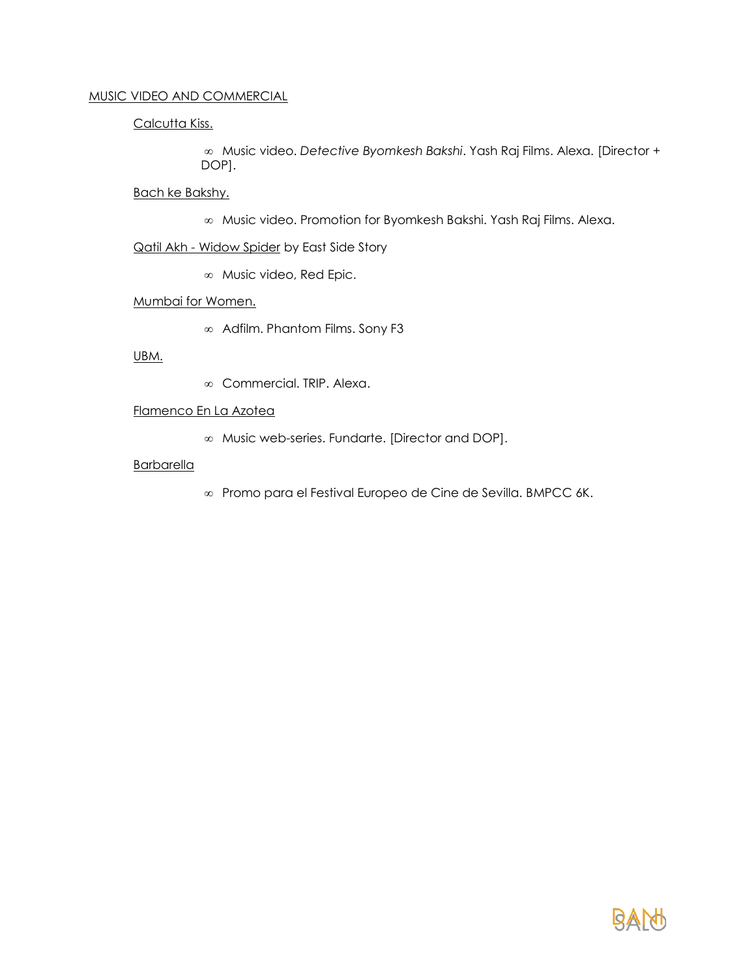# MUSIC VIDEO AND COMMERCIAL

Calcutta Kiss.

 Music video. *Detective Byomkesh Bakshi*. Yash Raj Films. Alexa. [Director + DOP].

Bach ke Bakshy.

Music video. Promotion for Byomkesh Bakshi. Yash Raj Films. Alexa.

Qatil Akh - Widow Spider by East Side Story

Music video, Red Epic.

## Mumbai for Women.

Adfilm. Phantom Films. Sony F3

## UBM.

Commercial. TRIP. Alexa.

## Flamenco En La Azotea

Music web-series. Fundarte. [Director and DOP].

## **Barbarella**

Promo para el Festival Europeo de Cine de Sevilla. BMPCC 6K.

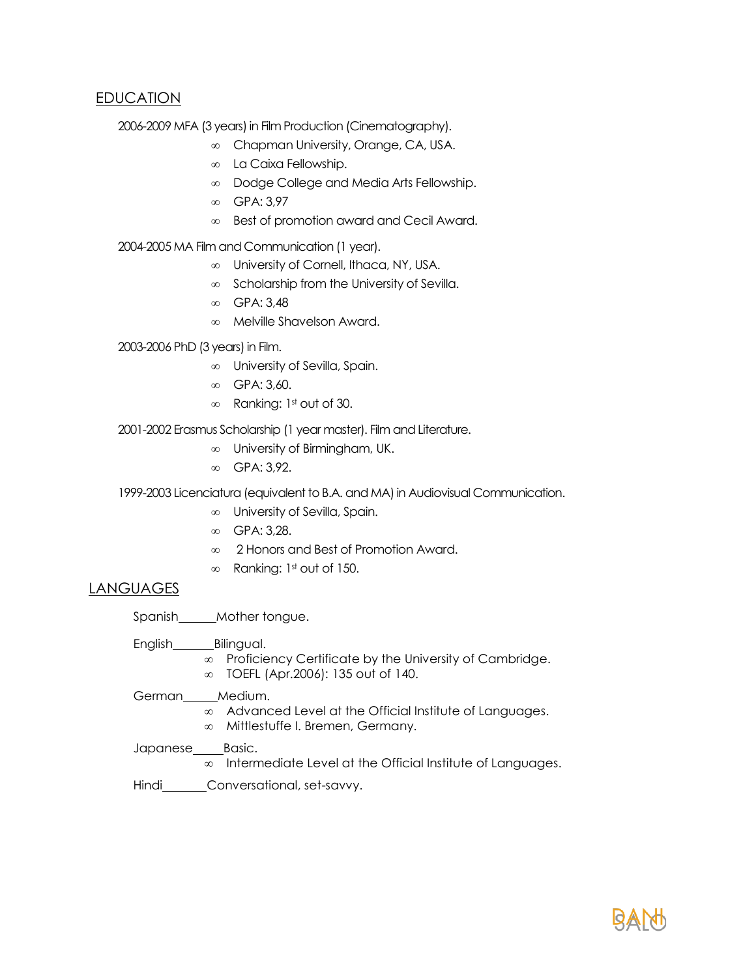## EDUCATION

2006-2009 MFA (3 years) in Film Production (Cinematography).

- Chapman University, Orange, CA, USA.
- La Caixa Fellowship.
- Dodge College and Media Arts Fellowship.
- ∞ GPA: 3,97
- Best of promotion award and Cecil Award.

2004-2005 MA Film and Communication (1 year).

- University of Cornell, Ithaca, NY, USA.
- $\infty$  Scholarship from the University of Sevilla.
- GPA: 3,48
- Melville Shavelson Award.

2003-2006 PhD (3 years) in Film.

- University of Sevilla, Spain.
- GPA: 3,60.
- $\infty$  Ranking: 1st out of 30.

2001-2002 Erasmus Scholarship (1 year master). Film and Literature.

- University of Birmingham, UK.
- GPA: 3,92.

1999-2003 Licenciatura (equivalent to B.A. and MA) in Audiovisual Communication.

- University of Sevilla, Spain.
- GPA: 3,28.
- 2 Honors and Best of Promotion Award.
- $\infty$  Ranking: 1st out of 150.

## LANGUAGES

Spanish\_\_\_\_\_Mother tongue.

English\_\_\_\_\_\_\_\_\_Bilingual.

- $\infty$  Proficiency Certificate by the University of Cambridge.
- TOEFL (Apr.2006): 135 out of 140.

German\_\_\_\_\_Medium.

- Advanced Level at the Official Institute of Languages.
- Mittlestuffe I. Bremen, Germany.

Japanese\_\_\_\_\_Basic.

 $\infty$  Intermediate Level at the Official Institute of Languages.

Hindi **Conversational**, set-savvy.

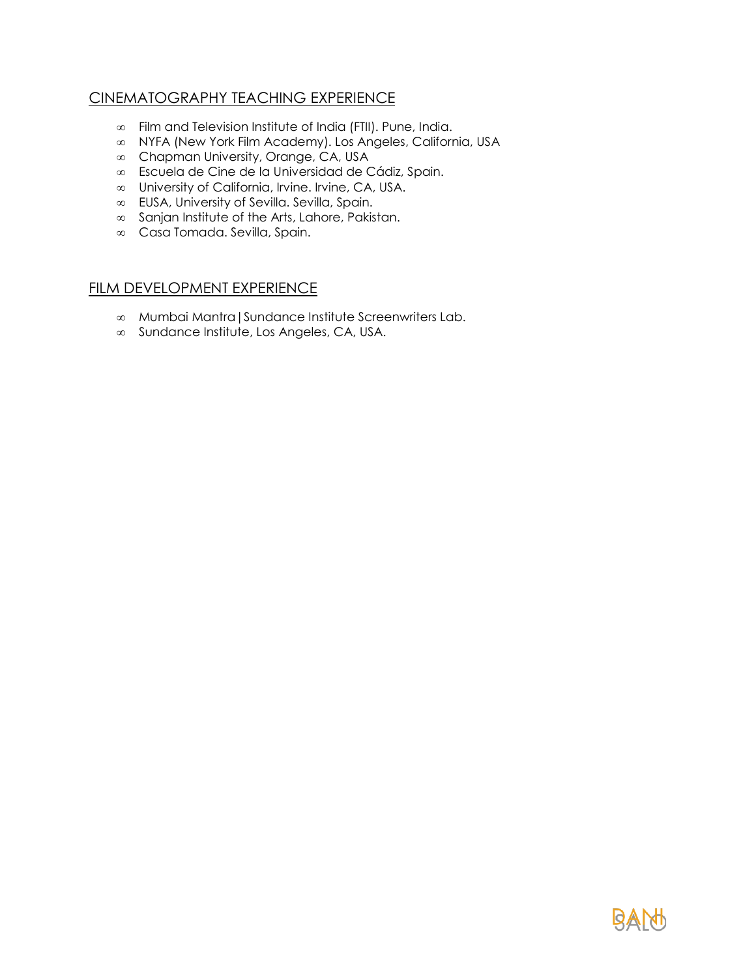# CINEMATOGRAPHY TEACHING EXPERIENCE

- Film and Television Institute of India (FTII). Pune, India.
- NYFA (New York Film Academy). Los Angeles, California, USA
- Chapman University, Orange, CA, USA
- Escuela de Cine de la Universidad de Cádiz, Spain.
- University of California, Irvine. Irvine, CA, USA.
- EUSA, University of Sevilla. Sevilla, Spain.
- $\infty$  Sanjan Institute of the Arts, Lahore, Pakistan.
- Casa Tomada. Sevilla, Spain.

# FILM DEVELOPMENT EXPERIENCE

- Mumbai Mantra|Sundance Institute Screenwriters Lab.
- Sundance Institute, Los Angeles, CA, USA.